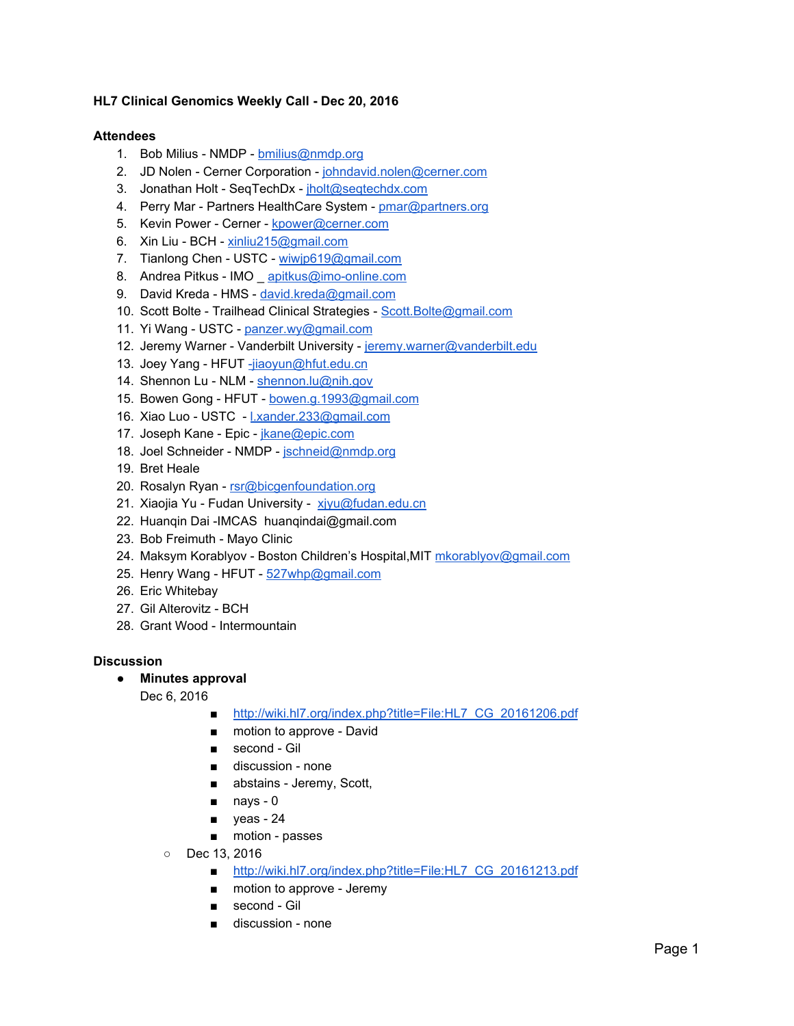## **HL7 Clinical Genomics Weekly Call - Dec 20, 2016**

## **Attendees**

- 1. Bob Milius NMDP [bmilius@nmdp.org](mailto:bmilius@nmdp.org)
- 2. JD Nolen Cerner Corporation - [johndavid.nolen@cerner.com](mailto:johndavid.nolen@cerner.com)
- 3. Jonathan Holt SeqTechDx - [jholt@seqtechdx.com](mailto:jholt@seqtechdx.com)
- 4. Perry Mar Partners HealthCare System - [pmar@partners.org](mailto:pmar@partners.org)
- 5. Kevin Power Cerner - [kpower@cerner.com](mailto:kpower@cerner.com)
- 6. Xin Liu BCH [xinliu215@gmail.com](mailto:xinliu215@gmail.com)
- 7. Tianlong Chen USTC - [wiwjp619@gmail.com](mailto:wiwjp619@gmail.com)
- 8. Andrea Pitkus IMO [apitkus@imo-online.com](mailto:apitkus@imo-online.com)
- 9. David Kreda HMS - [david.kreda@gmail.com](mailto:david.kreda@gmail.com)
- 10. Scott Bolte Trailhead Clinical Strategies - [Scott.Bolte@gmail.com](mailto:Scott.Bolte@gmail.com)
- 11. Yi Wang USTC - [panzer.wy@gmail.com](mailto:panzer.wy@gmail.com)
- 12. Jeremy Warner Vanderbilt University - [jeremy.warner@vanderbilt.edu](mailto:jeremy.warner@vanderbilt.edu)
- 13. Joey Yang HFUT [-jiaoyun@hfut.edu.cn](mailto:-jiaoyun@hfut.edu.cn)
- 14. Shennon Lu NLM - [shennon.lu@nih.gov](mailto:shennon.lu@nih.gov)
- 15. Bowen Gong HFUT - [bowen.g.1993@gmail.com](mailto:bowen.g.1993@gmail.com)
- 16. Xiao Luo USTC [l.xander.233@gmail.com](mailto:l.xander.233@gmail.com)
- 17. Joseph Kane Epic - [jkane@epic.com](mailto:jkane@epic.com)
- 18. Joel Schneider NMDP - [jschneid@nmdp.org](mailto:jschneid@nmdp.org)
- 19. Bret Heale
- 20. Rosalyn Ryan - [rsr@bicgenfoundation.org](mailto:rsr@bicgenfoundation.org)
- 21. Xiaojia Yu Fudan University xivu@fudan.edu.cn
- 22. Huanqin Dai -IMCAS huanqindai@gmail.com
- 23. Bob Freimuth Mayo Clinic
- 24. Maksym Korablyov Boston Children's Hospital, MIT [mkorablyov@gmail.com](mailto:mkorablyov@gmail.com)
- 25. Henry Wang HFUT [527whp@gmail.com](mailto:527whp@gmail.com)
- 26. Eric Whitebay
- 27. Gil Alterovitz BCH
- 28. Grant Wood Intermountain

## **Discussion**

- **● Minutes approval**
	- Dec 6, 2016
		- [http://wiki.hl7.org/index.php?title=File:HL7\\_CG\\_20161206.pdf](http://wiki.hl7.org/index.php?title=File:HL7_CG_20161206.pdf)
		- motion to approve David
		- second Gil
		- discussion none
		- abstains Jeremy, Scott,
		- nays 0
		- yeas 24
		- motion passes
		- Dec 13, 2016
			- [http://wiki.hl7.org/index.php?title=File:HL7\\_CG\\_20161213.pdf](http://wiki.hl7.org/index.php?title=File:HL7_CG_20161213.pdf)
			- motion to approve Jeremy
			- second Gil
			- discussion none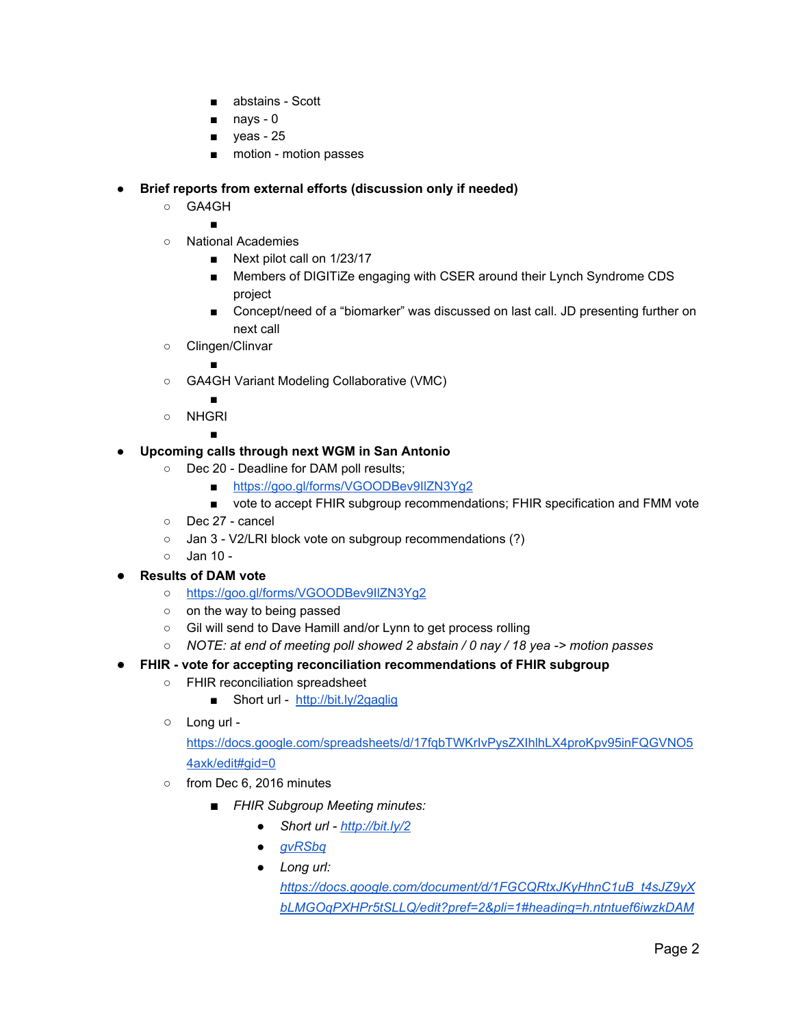- abstains Scott
- nays 0
- yeas 25
- motion motion passes

## **● Brief reports from external efforts (discussion only if needed)**

- GA4GH
	- ■
- National Academies
	- Next pilot call on 1/23/17
	- Members of DIGITiZe engaging with CSER around their Lynch Syndrome CDS project
	- Concept/need of a "biomarker" was discussed on last call. JD presenting further on next call
- Clingen/Clinvar ■

- GA4GH Variant Modeling Collaborative (VMC)
	- ■
- NHGRI

■

- **● Upcoming calls through next WGM in San Antonio**
	- Dec 20 Deadline for DAM poll results;
		- <https://goo.gl/forms/VGOODBev9IlZN3Yg2>
		- vote to accept FHIR subgroup recommendations; FHIR specification and FMM vote
	- Dec 27 cancel
	- Jan 3 V2/LRI block vote on subgroup recommendations (?)
	- Jan 10 -
- **Results of DAM vote** 
	- **○** <https://goo.gl/forms/VGOODBev9IlZN3Yg2>
	- on the way to being passed
	- Gil will send to Dave Hamill and/or Lynn to get process rolling
	- *○ NOTE: at end of meeting poll showed 2 abstain / 0 nay / 18 yea -> motion passes*
- **FHIR vote for accepting reconciliation recommendations of FHIR subgroup**
	- FHIR reconciliation spreadsheet
		- Short url -<http://bit.ly/2gaglig>
	- Long url -

[https://docs.google.com/spreadsheets/d/17fqbTWKrIvPysZXIhlhLX4proKpv95inFQGVNO5](https://docs.google.com/spreadsheets/d/17fqbTWKrIvPysZXIhlhLX4proKpv95inFQGVNO54axk/edit#gid=0) [4axk/edit#gid=0](https://docs.google.com/spreadsheets/d/17fqbTWKrIvPysZXIhlhLX4proKpv95inFQGVNO54axk/edit#gid=0)

- o from Dec 6, 2016 minutes
	- *■ FHIR Subgroup Meeting minutes:*
		- *● Short url - [http://bit.ly/2](http://bit.ly/2gvRSbq)*
		- *● [gvRSbq](http://bit.ly/2gvRSbq)*
		- *● Long url:*

*[https://docs.google.com/document/d/1FGCQRtxJKyHhnC1uB\\_t4sJZ9yX](https://docs.google.com/document/d/1FGCQRtxJKyHhnC1uB_t4sJZ9yXbLMGOqPXHPr5tSLLQ/edit?pref=2&pli=1#heading=h.ntntuef6iwzkDAM) [bLMGOqPXHPr5tSLLQ/edit?pref=2&pli=1#heading=h.ntntuef6iwzkDAM](https://docs.google.com/document/d/1FGCQRtxJKyHhnC1uB_t4sJZ9yXbLMGOqPXHPr5tSLLQ/edit?pref=2&pli=1#heading=h.ntntuef6iwzkDAM)*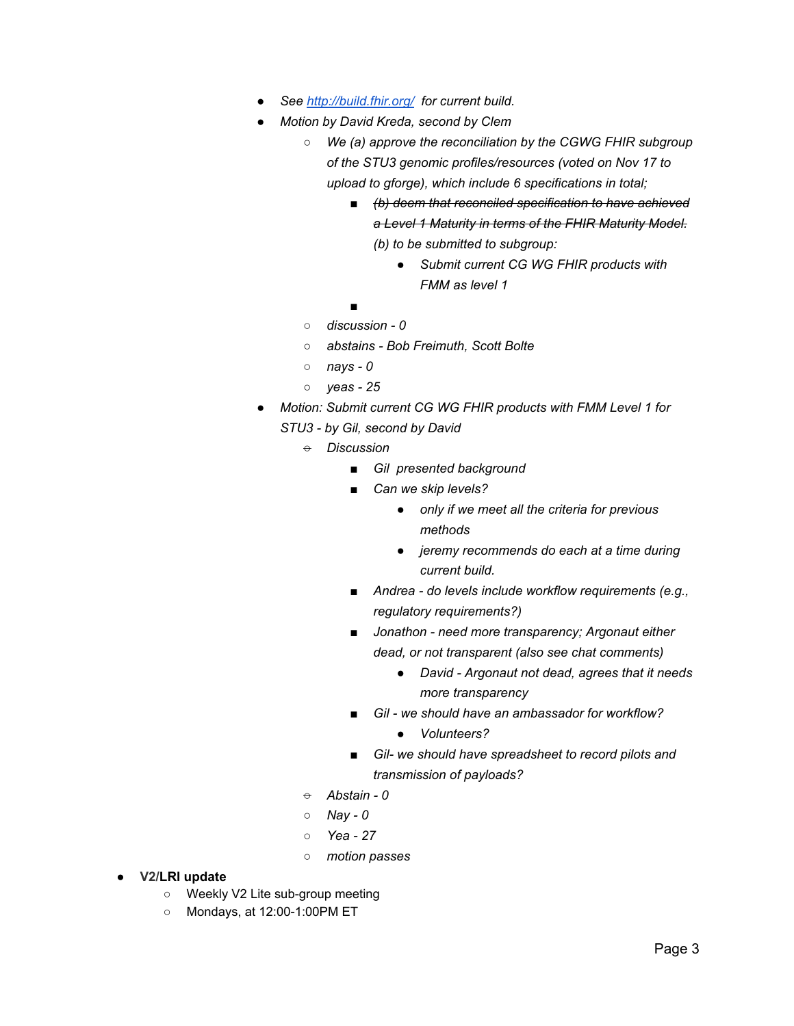- *● See<http://build.fhir.org/> for current build.*
- *● Motion by David Kreda, second by Clem*
	- *○ We (a) approve the reconciliation by the CGWG FHIR subgroup of the STU3 genomic profiles/resources (voted on Nov 17 to upload to gforge), which include 6 specifications in total;*
		- *■ (b) deem that reconciled specification to have achieved a Level 1 Maturity in terms of the FHIR Maturity Model. (b) to be submitted to subgroup:*
			- *● Submit current CG WG FHIR products with FMM as level 1*

*■*

- *○ discussion - 0*
- *○ abstains - Bob Freimuth, Scott Bolte*
- *○ nays - 0*
- *○ yeas - 25*
- *● Motion: Submit current CG WG FHIR products with FMM Level 1 for STU3 - by Gil, second by David*
	- *○ Discussion*
		- *■ Gil presented background*
		- *■ Can we skip levels?*
			- *● only if we meet all the criteria for previous methods*
			- *● jeremy recommends do each at a time during current build.*
		- *■ Andrea - do levels include workflow requirements (e.g., regulatory requirements?)*
		- *■ Jonathon - need more transparency; Argonaut either dead, or not transparent (also see chat comments)*
			- *● David - Argonaut not dead, agrees that it needs more transparency*
		- *■ Gil - we should have an ambassador for workflow?*
			- *● Volunteers?*
		- *■ Gil- we should have spreadsheet to record pilots and transmission of payloads?*
	- *○ Abstain - 0*
	- *○ Nay - 0*
	- *○ Yea - 27*
	- *○ motion passes*
- **● V2/LRI update**
	- Weekly V2 Lite sub-group meeting
	- Mondays, at 12:00-1:00PM ET